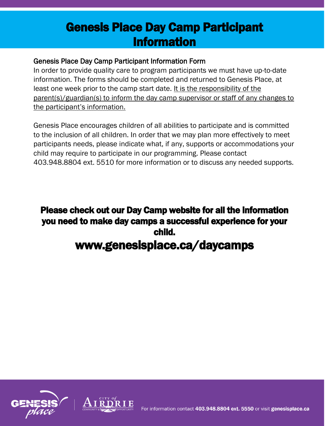# Genesis Place Day Camp Participant Information

### Genesis Place Day Camp Participant Information Form

In order to provide quality care to program participants we must have up-to-date information. The forms should be completed and returned to Genesis Place, at least one week prior to the camp start date. It is the responsibility of the parent(s)/guardian(s) to inform the day camp supervisor or staff of any changes to the participant's information.

Genesis Place encourages children of all abilities to participate and is committed to the inclusion of all children. In order that we may plan more effectively to meet participants needs, please indicate what, if any, supports or accommodations your child may require to participate in our programming. Please contact 403.948.8804 ext. 5510 for more information or to discuss any needed supports.

## Please check out our Day Camp website for all the information you need to make day camps a successful experience for your child. www.genesisplace.ca/daycamps



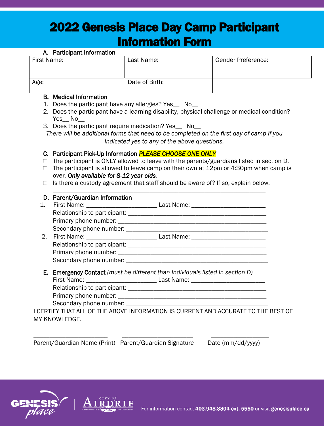# 2022 Genesis Place Day Camp Participant Information Form

| A. Participant Information |                |                           |
|----------------------------|----------------|---------------------------|
| First Name:                | Last Name:     | <b>Gender Preference:</b> |
|                            |                |                           |
|                            |                |                           |
| Age:                       | Date of Birth: |                           |
|                            |                |                           |

#### B. Medical Information

- 1. Does the participant have any allergies? Yes\_\_ No\_\_
- 2. Does the participant have a learning disability, physical challenge or medical condition? Yes\_ No
- 3. Does the participant require medication? Yes\_\_ No\_\_

*There will be additional forms that need to be completed on the first day of camp if you indicated yes to any of the above questions.*

#### C. Participant Pick-Up Information *PLEASE CHOOSE ONE ONLY*

- $\Box$  The participant is ONLY allowed to leave with the parents/guardians listed in section D.
- $\Box$  The participant is allowed to leave camp on their own at 12pm or 4:30pm when camp is over. *Only available for 8-12 year olds*.
- $\Box$  Is there a custody agreement that staff should be aware of? If so, explain below. \_\_\_\_\_\_\_\_\_\_\_\_\_\_\_\_\_\_\_\_\_\_\_\_\_\_\_\_\_\_\_\_\_\_\_\_\_\_\_\_\_\_\_\_\_\_\_\_\_\_\_\_\_\_\_\_\_\_\_\_\_\_\_\_\_\_

| D. Parent/Guardian Information                                                |                                                                                   |  |
|-------------------------------------------------------------------------------|-----------------------------------------------------------------------------------|--|
|                                                                               |                                                                                   |  |
|                                                                               |                                                                                   |  |
|                                                                               |                                                                                   |  |
|                                                                               |                                                                                   |  |
|                                                                               |                                                                                   |  |
|                                                                               |                                                                                   |  |
|                                                                               |                                                                                   |  |
|                                                                               |                                                                                   |  |
| E. Emergency Contact (must be different than individuals listed in section D) |                                                                                   |  |
|                                                                               | First Name: __________________________________ Last Name: _______________________ |  |
|                                                                               |                                                                                   |  |
|                                                                               |                                                                                   |  |
|                                                                               |                                                                                   |  |
|                                                                               | LCERTIEV THAT ALL OF THE AROVE INFORMATION IS CLIRRENT AND ACCLIRATE TO THE REST  |  |

I CERTIFY THAT ALL OF THE ABOVE INFORMATION IS CURRENT AND ACCURATE TO THE BEST OF MY KNOWLEDGE.

\_\_\_\_\_\_\_\_\_\_\_\_\_\_\_\_\_\_\_\_\_\_\_ \_\_\_\_\_\_\_\_\_\_\_\_\_\_\_\_\_\_\_\_\_\_ \_\_\_\_\_\_\_\_\_\_\_\_\_\_\_\_\_\_

Parent/Guardian Name (Print) Parent/Guardian Signature Date (mm/dd/yyyy)